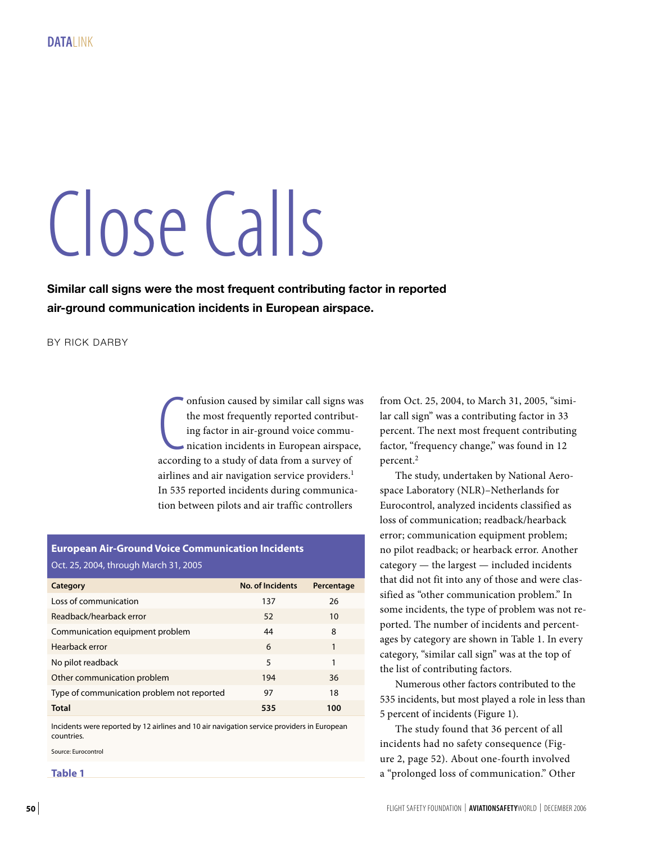# Close Calls

**Similar call signs were the most frequent contributing factor in reported air-ground communication incidents in European airspace.**

BY RICK DARBY

onfusion caused by similar call signs w<br>the most frequently reported contribut<br>ing factor in air-ground voice commu-<br>nication incidents in European airspac<br>according to a study of data from a survey of onfusion caused by similar call signs was the most frequently reported contributing factor in air-ground voice communication incidents in European airspace, airlines and air navigation service providers.<sup>1</sup> In 535 reported incidents during communication between pilots and air traffic controllers

## **European Air-Ground Voice Communication Incidents** Oct. 25, 2004, through March 31, 2005

| Category                                   | <b>No. of Incidents</b> | Percentage |
|--------------------------------------------|-------------------------|------------|
| Loss of communication                      | 137                     | 26         |
| Readback/hearback error                    | 52                      | 10         |
| Communication equipment problem            | 44                      | 8          |
| Hearback error                             | 6                       | 1          |
| No pilot readback                          | 5                       | 1          |
| Other communication problem                | 194                     | 36         |
| Type of communication problem not reported | 97                      | 18         |
| <b>Total</b>                               | 535                     | 100        |

Incidents were reported by 12 airlines and 10 air navigation service providers in European countries.

Source: Eurocontrol

**Table 1**

from Oct. 25, 2004, to March 31, 2005, "similar call sign" was a contributing factor in 33 percent. The next most frequent contributing factor, "frequency change," was found in 12 percent.2

The study, undertaken by National Aerospace Laboratory (NLR)–Netherlands for Eurocontrol, analyzed incidents classified as loss of communication; readback/hearback error; communication equipment problem; no pilot readback; or hearback error. Another category — the largest — included incidents that did not fit into any of those and were classified as "other communication problem." In some incidents, the type of problem was not reported. The number of incidents and percentages by category are shown in Table 1. In every category, "similar call sign" was at the top of the list of contributing factors.

Numerous other factors contributed to the 535 incidents, but most played a role in less than 5 percent of incidents (Figure 1).

The study found that 36 percent of all incidents had no safety consequence (Figure 2, page 52). About one-fourth involved a "prolonged loss of communication." Other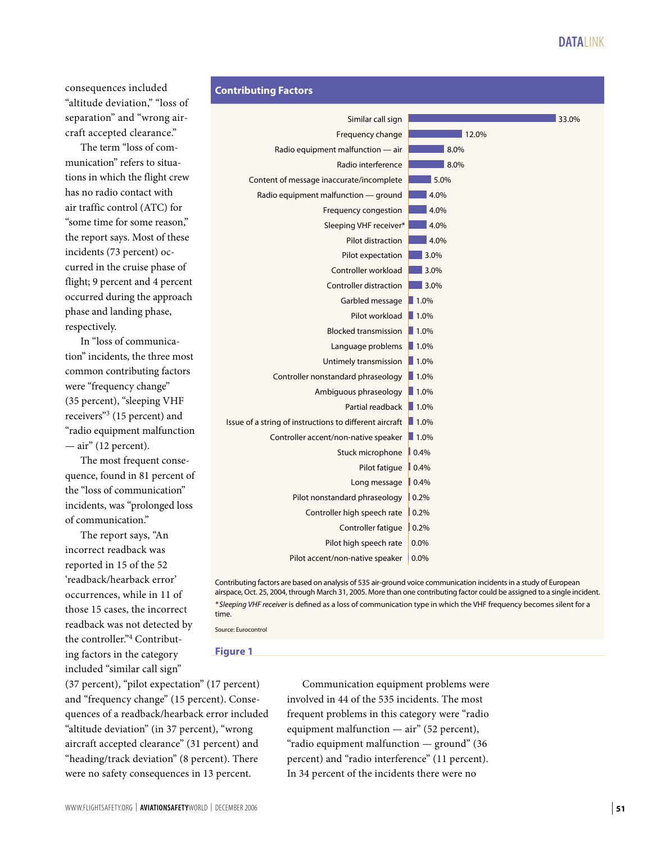# **DATALINK**

consequences included "altitude deviation," "loss of separation" and "wrong aircraft accepted clearance."

The term "loss of communication" refers to situations in which the flight crew has no radio contact with air traffic control (ATC) for "some time for some reason," the report says. Most of these incidents (73 percent) occurred in the cruise phase of flight; 9 percent and 4 percent occurred during the approach phase and landing phase, respectively.

In "loss of communication" incidents, the three most common contributing factors were "frequency change" (35 percent), "sleeping VHF receivers"3 (15 percent) and "radio equipment malfunction  $-$  air" (12 percent).

The most frequent consequence, found in 81 percent of the "loss of communication" incidents, was "prolonged loss of communication."

The report says, "An incorrect readback was reported in 15 of the 52 'readback/hearback error' occurrences, while in 11 of those 15 cases, the incorrect readback was not detected by the controller."4 Contributing factors in the category included "similar call sign"



airspace, Oct. 25, 2004, through March 31, 2005. More than one contributing factor could be assigned to a single incident. *\* Sleeping VHF receiver* is defined as a loss of communication type in which the VHF frequency becomes silent for a time.

Source: Eurocontro

#### **Figure 1**

(37 percent), "pilot expectation" (17 percent) and "frequency change" (15 percent). Consequences of a readback/hearback error included "altitude deviation" (in 37 percent), "wrong aircraft accepted clearance" (31 percent) and "heading/track deviation" (8 percent). There were no safety consequences in 13 percent.

Communication equipment problems were involved in 44 of the 535 incidents. The most frequent problems in this category were "radio equipment malfunction — air" (52 percent), "radio equipment malfunction — ground" (36 percent) and "radio interference" (11 percent). In 34 percent of the incidents there were no